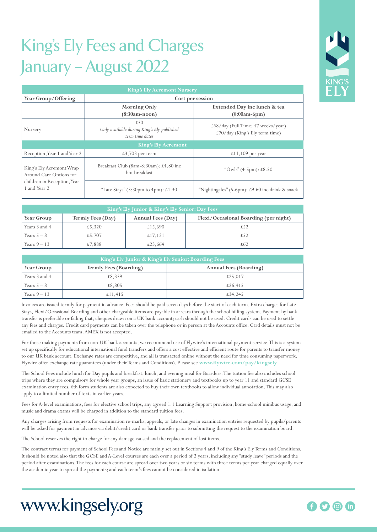# King's Ely Fees and Charges January – August 2022

| <b>King's Ely Acremont Nursery</b>                                                                 |                                                                      |                                                                      |  |  |  |  |
|----------------------------------------------------------------------------------------------------|----------------------------------------------------------------------|----------------------------------------------------------------------|--|--|--|--|
| Year Group/Offering                                                                                | Cost per session                                                     |                                                                      |  |  |  |  |
|                                                                                                    | <b>Morning Only</b><br>$(8:30am-noon)$                               | Extended Day inc lunch & tea<br>$(8:00am-6pm)$                       |  |  |  |  |
| Nursery                                                                                            | £30<br>Only available during King's Ely published<br>term time dates | £68/day (Full Time: 47 weeks/year)<br>£70/day (King's Ely term time) |  |  |  |  |
|                                                                                                    | <b>King's Ely Acremont</b>                                           |                                                                      |  |  |  |  |
| Reception, Year 1 and Year 2                                                                       | $£3,703$ per term                                                    | £11,109 per year                                                     |  |  |  |  |
| King's Ely Acremont Wrap<br>Around Care Options for<br>children in Reception, Year<br>1 and Year 2 | Breakfast Club $(8am-8:30am)$ : £4.80 inc<br>hot breakfast           | "Owls" $(4-5pm)$ : £8.50                                             |  |  |  |  |
|                                                                                                    | "Late Stays" $(3:30 \text{pm to 4pm}): £4.30$                        | "Nightingales" (5-6pm): £9.60 inc drink & snack                      |  |  |  |  |

| King's Ely Junior & King's Ely Senior: Day Fees |                   |                   |                                       |  |  |
|-------------------------------------------------|-------------------|-------------------|---------------------------------------|--|--|
| <b>Year Group</b>                               | Termly Fees (Day) | Annual Fees (Day) | Flexi/Occasional Boarding (per night) |  |  |
| Years 3 and 4                                   | £5,320            | £15,690           |                                       |  |  |
| Years $5-8$                                     | £5.707            | £17.121           | £52                                   |  |  |
| Years $9-13$                                    | £7.888            | £23.664           | £62                                   |  |  |

| King's Ely Junior & King's Ely Senior: Boarding Fees |                               |                               |  |  |
|------------------------------------------------------|-------------------------------|-------------------------------|--|--|
| <b>Year Group</b>                                    | <b>Termly Fees (Boarding)</b> | <b>Annual Fees (Boarding)</b> |  |  |
| Years 3 and 4                                        | £8.339                        | £25.017                       |  |  |
| Years $5-8$                                          | £8,805                        | £26,415                       |  |  |
| Years $9-13$                                         | £11,415                       | £34,245                       |  |  |

Invoices are issued termly for payment in advance. Fees should be paid seven days before the start of each term. Extra charges for Late Stays, Flexi/Occasional Boarding and other chargeable items are payable in arrears through the school billing system. Payment by bank transfer is preferable or failing that, cheques drawn on a UK bank account; cash should not be used. Credit cards can be used to settle any fees and charges. Credit card payments can be taken over the telephone or in person at the Accounts office. Card details must not be emailed to the Accounts team. AMEX is not accepted.

For those making payments from non-UK bank accounts, we recommend use of Flywire's international payment service. This is a system set up specifically for educational international fund transfers and offers a cost effective and efficient route for parents to transfer money to our UK bank account. Exchange rates are competitive, and all is transacted online without the need for time consuming paperwork. Flywire offer exchange rate guarantees (under their Terms and Conditions). Please see **www.flywire.com/pay/kingsely**

The School Fees include lunch for Day pupils and breakfast, lunch, and evening meal for Boarders. The tuition fee also includes school trips where they are compulsory for whole year groups, an issue of basic stationery and textbooks up to year 11 and standard GCSE examination entry fees. 6th form students are also expected to buy their own textbooks to allow individual annotation. This may also apply to a limited number of texts in earlier years.

Fees for A-level examinations, fees for elective school trips, any agreed 1:1 Learning Support provision, home-school minibus usage, and music and drama exams will be charged in addition to the standard tuition fees.

Any charges arising from requests for examination re-marks, appeals, or late changes in examination entries requested by pupils/parents will be asked for payment in advance via debit/credit card or bank transfer prior to submitting the request to the examination board.

The School reserves the right to charge for any damage caused and the replacement of lost items.

The contract terms for payment of School Fees and Notice are mainly set out in Sections 4 and 9 of the King's Ely Terms and Conditions. It should be noted also that the GCSE and A-Level courses are each over a period of 2 years, including any "study leave" periods and the period after examinations. The fees for each course are spread over two years or six terms with three terms per year charged equally over the academic year to spread the payments; and each term's fees cannot be considered in isolation.



# www.kingsely.org